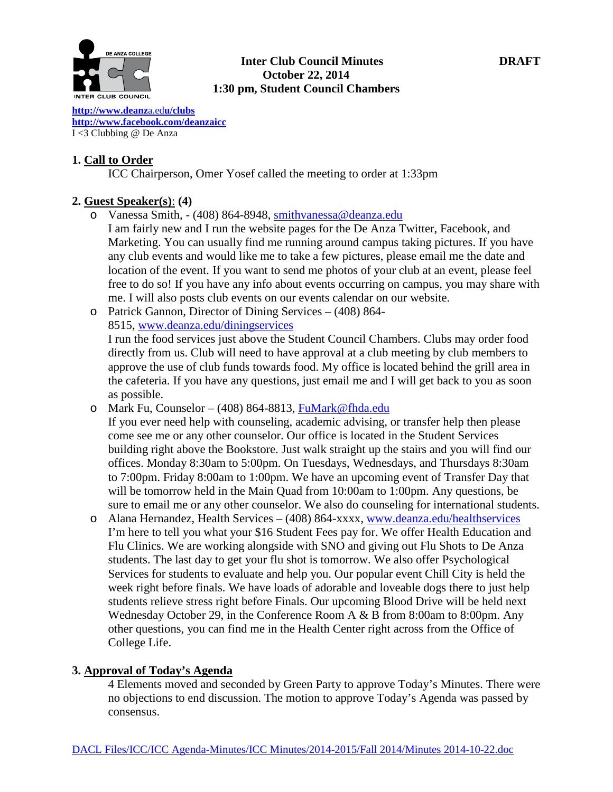

#### **Inter Club Council Minutes DRAFT October 22, 2014 1:30 pm, Student Council Chambers**

**[http://www.deanz](http://www.deanza.edu/clubs)**a.ed**u/clubs [http://www.facebook.com/deanzaicc](http://www.facebook.com/home.php%23!/group.php?gid=59034552686)** I <3 Clubbing @ De Anza

# **1. Call to Order**

ICC Chairperson, Omer Yosef called the meeting to order at 1:33pm

# **2. Guest Speaker(s)**: **(4)**

- o Vanessa Smith, (408) 864-8948, [smithvanessa@deanza.edu](mailto:smithvanessa@deanza.edu)
	- I am fairly new and I run the website pages for the De Anza Twitter, Facebook, and Marketing. You can usually find me running around campus taking pictures. If you have any club events and would like me to take a few pictures, please email me the date and location of the event. If you want to send me photos of your club at an event, please feel free to do so! If you have any info about events occurring on campus, you may share with me. I will also posts club events on our events calendar on our website.
- o Patrick Gannon, Director of Dining Services (408) 864- 8515, [www.deanza.edu/diningservices](http://www.deanza.edu/diningservices) I run the food services just above the Student Council Chambers. Clubs may order food directly from us. Club will need to have approval at a club meeting by club members to approve the use of club funds towards food. My office is located behind the grill area in the cafeteria. If you have any questions, just email me and I will get back to you as soon as possible.
- o Mark Fu, Counselor (408) 864-8813, [FuMark@fhda.edu](mailto:FuMark@fhda.edu)
- If you ever need help with counseling, academic advising, or transfer help then please come see me or any other counselor. Our office is located in the Student Services building right above the Bookstore. Just walk straight up the stairs and you will find our offices. Monday 8:30am to 5:00pm. On Tuesdays, Wednesdays, and Thursdays 8:30am to 7:00pm. Friday 8:00am to 1:00pm. We have an upcoming event of Transfer Day that will be tomorrow held in the Main Quad from 10:00am to 1:00pm. Any questions, be sure to email me or any other counselor. We also do counseling for international students.
- o Alana Hernandez, Health Services (408) 864-xxxx, [www.deanza.edu/healthservices](http://www.deanza.edu/healthservices) I'm here to tell you what your \$16 Student Fees pay for. We offer Health Education and Flu Clinics. We are working alongside with SNO and giving out Flu Shots to De Anza students. The last day to get your flu shot is tomorrow. We also offer Psychological Services for students to evaluate and help you. Our popular event Chill City is held the week right before finals. We have loads of adorable and loveable dogs there to just help students relieve stress right before Finals. Our upcoming Blood Drive will be held next Wednesday October 29, in the Conference Room A & B from 8:00am to 8:00pm. Any other questions, you can find me in the Health Center right across from the Office of College Life.

#### **3. Approval of Today's Agenda**

4 Elements moved and seconded by Green Party to approve Today's Minutes. There were no objections to end discussion. The motion to approve Today's Agenda was passed by consensus.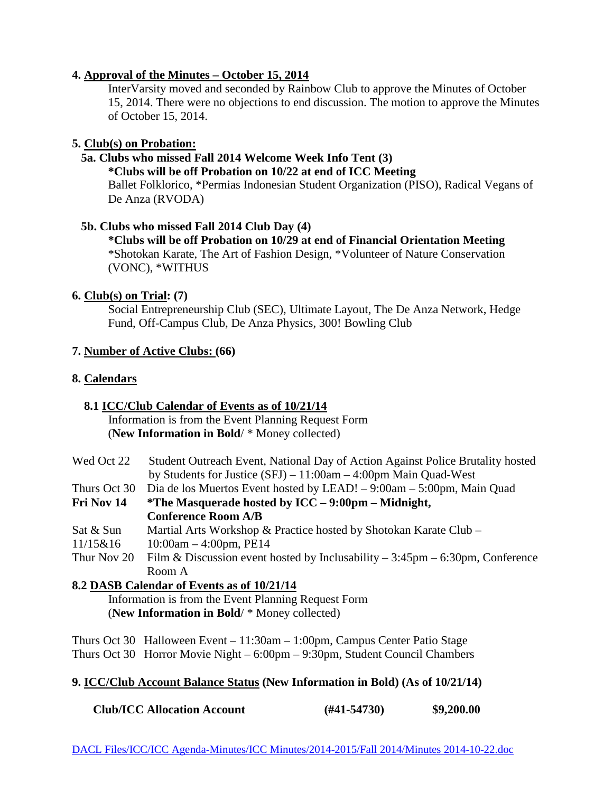# **4. Approval of the Minutes – October 15, 2014**

InterVarsity moved and seconded by Rainbow Club to approve the Minutes of October 15, 2014. There were no objections to end discussion. The motion to approve the Minutes of October 15, 2014.

# **5. Club(s) on Probation:**

# **5a. Clubs who missed Fall 2014 Welcome Week Info Tent (3)**

**\*Clubs will be off Probation on 10/22 at end of ICC Meeting**

Ballet Folklorico, \*Permias Indonesian Student Organization (PISO), Radical Vegans of De Anza (RVODA)

#### **5b. Clubs who missed Fall 2014 Club Day (4)**

**\*Clubs will be off Probation on 10/29 at end of Financial Orientation Meeting** \*Shotokan Karate, The Art of Fashion Design, \*Volunteer of Nature Conservation (VONC), \*WITHUS

# **6. Club(s) on Trial: (7)**

Social Entrepreneurship Club (SEC), Ultimate Layout, The De Anza Network, Hedge Fund, Off-Campus Club, De Anza Physics, 300! Bowling Club

# **7. Number of Active Clubs: (66)**

# **8. Calendars**

#### **8.1 ICC/Club Calendar of Events as of 10/21/14** Information is from the Event Planning Request Form

(**New Information in Bold**/ \* Money collected)

- Wed Oct 22 Student Outreach Event, National Day of Action Against Police Brutality hosted by Students for Justice (SFJ) – 11:00am – 4:00pm Main Quad-West
- Thurs Oct 30 Dia de los Muertos Event hosted by LEAD! 9:00am 5:00pm, Main Quad
- **Fri Nov 14 \*The Masquerade hosted by ICC – 9:00pm – Midnight, Conference Room A/B**
- Sat & Sun Martial Arts Workshop & Practice hosted by Shotokan Karate Club –
- $11/15\&16$  10:00am 4:00pm, PE14
- Thur Nov 20 Film & Discussion event hosted by Inclusability 3:45pm 6:30pm, Conference Room A

# **8.2 DASB Calendar of Events as of 10/21/14**

 Information is from the Event Planning Request Form (**New Information in Bold**/ \* Money collected)

Thurs Oct 30 Halloween Event – 11:30am – 1:00pm, Campus Center Patio Stage Thurs Oct 30 Horror Movie Night – 6:00pm – 9:30pm, Student Council Chambers

# **9. ICC/Club Account Balance Status (New Information in Bold) (As of 10/21/14)**

 **Club/ICC Allocation Account (#41-54730) \$9,200.00**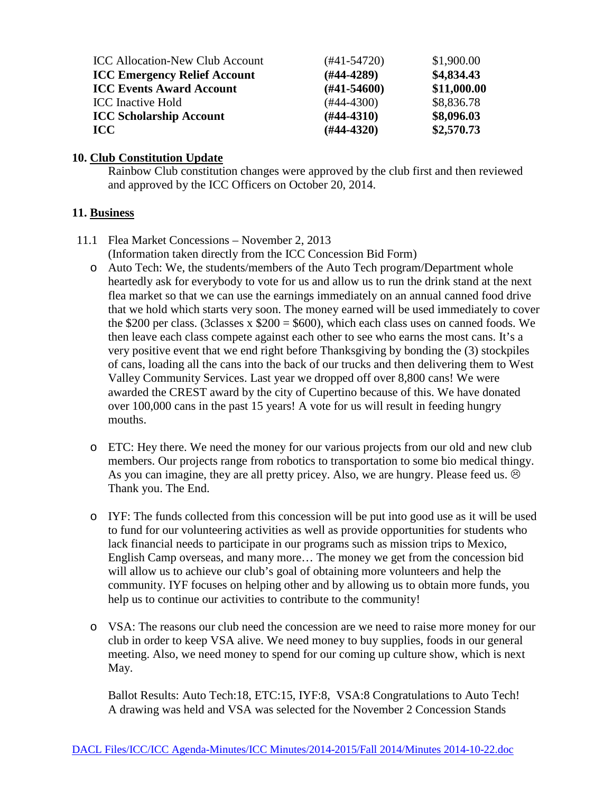| <b>ICC Allocation-New Club Account</b> | $(#41-54720)$ | \$1,900.00  |
|----------------------------------------|---------------|-------------|
| <b>ICC Emergency Relief Account</b>    | $(H44-4289)$  | \$4,834.43  |
| <b>ICC Events Award Account</b>        | $(H41-54600)$ | \$11,000.00 |
| <b>ICC</b> Inactive Hold               | $(#44-4300)$  | \$8,836.78  |
| <b>ICC Scholarship Account</b>         | $(H44-4310)$  | \$8,096.03  |
| <b>ICC</b>                             | $(H44-4320)$  | \$2,570.73  |

#### **10. Club Constitution Update**

Rainbow Club constitution changes were approved by the club first and then reviewed and approved by the ICC Officers on October 20, 2014.

# **11. Business**

11.1 Flea Market Concessions – November 2, 2013

(Information taken directly from the ICC Concession Bid Form)

- o Auto Tech: We, the students/members of the Auto Tech program/Department whole heartedly ask for everybody to vote for us and allow us to run the drink stand at the next flea market so that we can use the earnings immediately on an annual canned food drive that we hold which starts very soon. The money earned will be used immediately to cover the \$200 per class. (3classes x  $$200 = $600$ ), which each class uses on canned foods. We then leave each class compete against each other to see who earns the most cans. It's a very positive event that we end right before Thanksgiving by bonding the (3) stockpiles of cans, loading all the cans into the back of our trucks and then delivering them to West Valley Community Services. Last year we dropped off over 8,800 cans! We were awarded the CREST award by the city of Cupertino because of this. We have donated over 100,000 cans in the past 15 years! A vote for us will result in feeding hungry mouths.
- o ETC: Hey there. We need the money for our various projects from our old and new club members. Our projects range from robotics to transportation to some bio medical thingy. As you can imagine, they are all pretty pricey. Also, we are hungry. Please feed us.  $\odot$ Thank you. The End.
- o IYF: The funds collected from this concession will be put into good use as it will be used to fund for our volunteering activities as well as provide opportunities for students who lack financial needs to participate in our programs such as mission trips to Mexico, English Camp overseas, and many more… The money we get from the concession bid will allow us to achieve our club's goal of obtaining more volunteers and help the community. IYF focuses on helping other and by allowing us to obtain more funds, you help us to continue our activities to contribute to the community!
- o VSA: The reasons our club need the concession are we need to raise more money for our club in order to keep VSA alive. We need money to buy supplies, foods in our general meeting. Also, we need money to spend for our coming up culture show, which is next May.

Ballot Results: Auto Tech:18, ETC:15, IYF:8, VSA:8 Congratulations to Auto Tech! A drawing was held and VSA was selected for the November 2 Concession Stands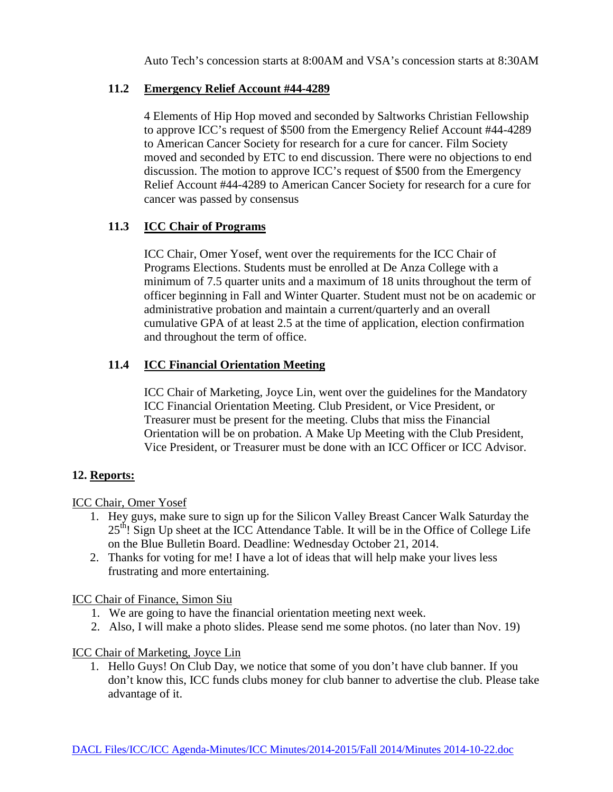Auto Tech's concession starts at 8:00AM and VSA's concession starts at 8:30AM

# **11.2 Emergency Relief Account #44-4289**

4 Elements of Hip Hop moved and seconded by Saltworks Christian Fellowship to approve ICC's request of \$500 from the Emergency Relief Account #44-4289 to American Cancer Society for research for a cure for cancer. Film Society moved and seconded by ETC to end discussion. There were no objections to end discussion. The motion to approve ICC's request of \$500 from the Emergency Relief Account #44-4289 to American Cancer Society for research for a cure for cancer was passed by consensus

# **11.3 ICC Chair of Programs**

ICC Chair, Omer Yosef, went over the requirements for the ICC Chair of Programs Elections. Students must be enrolled at De Anza College with a minimum of 7.5 quarter units and a maximum of 18 units throughout the term of officer beginning in Fall and Winter Quarter. Student must not be on academic or administrative probation and maintain a current/quarterly and an overall cumulative GPA of at least 2.5 at the time of application, election confirmation and throughout the term of office.

# **11.4 ICC Financial Orientation Meeting**

ICC Chair of Marketing, Joyce Lin, went over the guidelines for the Mandatory ICC Financial Orientation Meeting. Club President, or Vice President, or Treasurer must be present for the meeting. Clubs that miss the Financial Orientation will be on probation. A Make Up Meeting with the Club President, Vice President, or Treasurer must be done with an ICC Officer or ICC Advisor.

# **12. Reports:**

# ICC Chair, Omer Yosef

- 1. Hey guys, make sure to sign up for the Silicon Valley Breast Cancer Walk Saturday the  $25<sup>th</sup>$ ! Sign Up sheet at the ICC Attendance Table. It will be in the Office of College Life on the Blue Bulletin Board. Deadline: Wednesday October 21, 2014.
- 2. Thanks for voting for me! I have a lot of ideas that will help make your lives less frustrating and more entertaining.

ICC Chair of Finance, Simon Siu

- 1. We are going to have the financial orientation meeting next week.
- 2. Also, I will make a photo slides. Please send me some photos. (no later than Nov. 19)

# ICC Chair of Marketing, Joyce Lin

1. Hello Guys! On Club Day, we notice that some of you don't have club banner. If you don't know this, ICC funds clubs money for club banner to advertise the club. Please take advantage of it.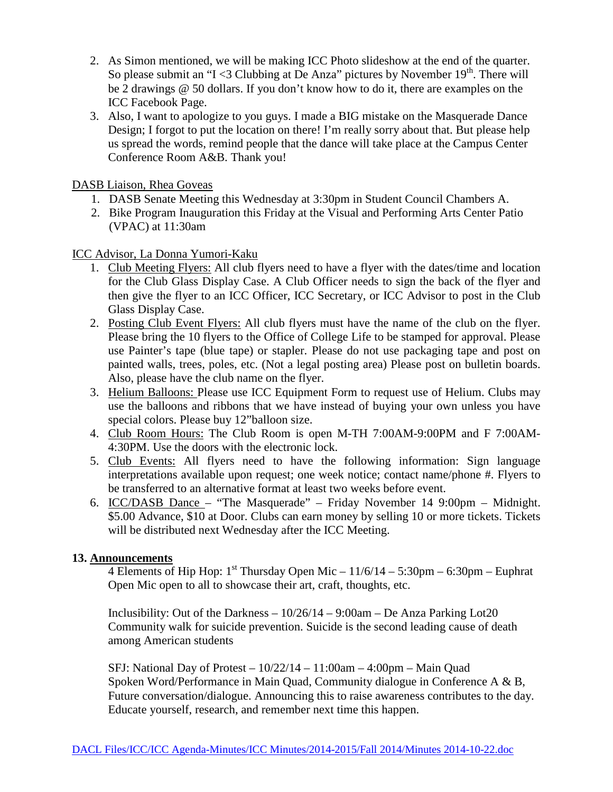- 2. As Simon mentioned, we will be making ICC Photo slideshow at the end of the quarter. So please submit an "I <3 Clubbing at De Anza" pictures by November  $19<sup>th</sup>$ . There will be 2 drawings @ 50 dollars. If you don't know how to do it, there are examples on the ICC Facebook Page.
- 3. Also, I want to apologize to you guys. I made a BIG mistake on the Masquerade Dance Design; I forgot to put the location on there! I'm really sorry about that. But please help us spread the words, remind people that the dance will take place at the Campus Center Conference Room A&B. Thank you!

DASB Liaison, Rhea Goveas

- 1. DASB Senate Meeting this Wednesday at 3:30pm in Student Council Chambers A.
- 2. Bike Program Inauguration this Friday at the Visual and Performing Arts Center Patio (VPAC) at 11:30am

ICC Advisor, La Donna Yumori-Kaku

- 1. Club Meeting Flyers: All club flyers need to have a flyer with the dates/time and location for the Club Glass Display Case. A Club Officer needs to sign the back of the flyer and then give the flyer to an ICC Officer, ICC Secretary, or ICC Advisor to post in the Club Glass Display Case.
- 2. Posting Club Event Flyers: All club flyers must have the name of the club on the flyer. Please bring the 10 flyers to the Office of College Life to be stamped for approval. Please use Painter's tape (blue tape) or stapler. Please do not use packaging tape and post on painted walls, trees, poles, etc. (Not a legal posting area) Please post on bulletin boards. Also, please have the club name on the flyer.
- 3. Helium Balloons: Please use ICC Equipment Form to request use of Helium. Clubs may use the balloons and ribbons that we have instead of buying your own unless you have special colors. Please buy 12"balloon size.
- 4. Club Room Hours: The Club Room is open M-TH 7:00AM-9:00PM and F 7:00AM-4:30PM. Use the doors with the electronic lock.
- 5. Club Events: All flyers need to have the following information: Sign language interpretations available upon request; one week notice; contact name/phone #. Flyers to be transferred to an alternative format at least two weeks before event.
- 6. ICC/DASB Dance "The Masquerade" Friday November 14 9:00pm Midnight. \$5.00 Advance, \$10 at Door. Clubs can earn money by selling 10 or more tickets. Tickets will be distributed next Wednesday after the ICC Meeting.

# **13. Announcements**

4 Elements of Hip Hop:  $1^{st}$  Thursday Open Mic –  $11/6/14 - 5:30$ pm – 6:30pm – Euphrat Open Mic open to all to showcase their art, craft, thoughts, etc.

Inclusibility: Out of the Darkness  $-10/26/14 - 9:00$ am – De Anza Parking Lot20 Community walk for suicide prevention. Suicide is the second leading cause of death among American students

SFJ: National Day of Protest  $-10/22/14 - 11:00$ am  $-4:00$ pm  $-$  Main Quad Spoken Word/Performance in Main Quad, Community dialogue in Conference A & B, Future conversation/dialogue. Announcing this to raise awareness contributes to the day. Educate yourself, research, and remember next time this happen.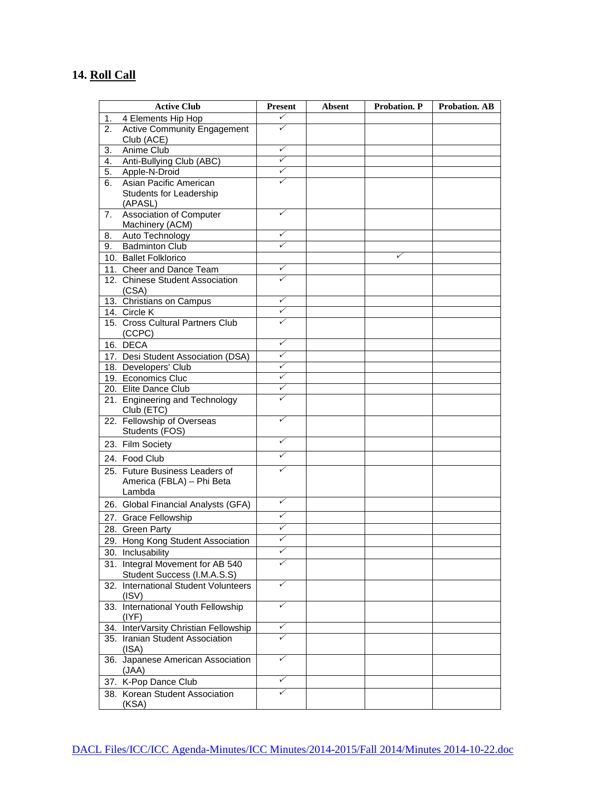# **14. Roll Call**

|          | <b>Active Club</b>                                                    | <b>Present</b> | <b>Absent</b> | Probation. P | <b>Probation. AB</b> |
|----------|-----------------------------------------------------------------------|----------------|---------------|--------------|----------------------|
| 1.       | 4 Elements Hip Hop                                                    | ✓              |               |              |                      |
| 2.       | <b>Active Community Engagement</b>                                    | ✓              |               |              |                      |
|          | Club (ACE)                                                            | ✓              |               |              |                      |
| 3.       | Anime Club                                                            | ✓              |               |              |                      |
| 4.       | Anti-Bullying Club (ABC)                                              | ✓              |               |              |                      |
| 5.<br>6. | Apple-N-Droid<br>Asian Pacific American                               |                |               |              |                      |
|          | Students for Leadership                                               |                |               |              |                      |
|          | (APASL)                                                               |                |               |              |                      |
| 7.       | Association of Computer                                               | ✓              |               |              |                      |
|          | Machinery (ACM)                                                       |                |               |              |                      |
| 8.       | Auto Technology                                                       | ✓              |               |              |                      |
| 9.       | <b>Badminton Club</b>                                                 | ✓              |               |              |                      |
|          | 10. Ballet Folklorico                                                 |                |               | ✓            |                      |
|          | 11. Cheer and Dance Team                                              | ✓              |               |              |                      |
|          | 12. Chinese Student Association                                       | ✓              |               |              |                      |
|          | (CSA)                                                                 |                |               |              |                      |
|          | 13. Christians on Campus                                              | ✓<br>✓         |               |              |                      |
|          | 14. Circle K<br>15. Cross Cultural Partners Club                      | ✓              |               |              |                      |
|          | (CCPC)                                                                |                |               |              |                      |
|          | 16. DECA                                                              | ✓              |               |              |                      |
|          | 17. Desi Student Association (DSA)                                    | ✓              |               |              |                      |
|          | 18. Developers' Club                                                  | ✓              |               |              |                      |
|          | 19. Economics Cluc                                                    | ✓              |               |              |                      |
|          | 20. Elite Dance Club                                                  | ✓              |               |              |                      |
|          | 21. Engineering and Technology<br>Club (ETC)                          | ✓              |               |              |                      |
|          | 22. Fellowship of Overseas<br>Students (FOS)                          | ✓              |               |              |                      |
|          | 23. Film Society                                                      | ✓              |               |              |                      |
|          | 24. Food Club                                                         | ✓              |               |              |                      |
|          | 25. Future Business Leaders of<br>America (FBLA) - Phi Beta<br>Lambda | ✓              |               |              |                      |
|          | 26. Global Financial Analysts (GFA)                                   | ✓              |               |              |                      |
|          | 27. Grace Fellowship                                                  | ✓              |               |              |                      |
|          | 28. Green Party                                                       | ✓              |               |              |                      |
|          | 29. Hong Kong Student Association                                     | ✓              |               |              |                      |
|          | 30. Inclusability                                                     | ✓              |               |              |                      |
|          | 31. Integral Movement for AB 540<br>Student Success (I.M.A.S.S)       |                |               |              |                      |
|          | 32. International Student Volunteers<br>(ISV)                         | ✓              |               |              |                      |
|          | 33. International Youth Fellowship<br>(IVF)                           | ✓              |               |              |                      |
|          | 34. InterVarsity Christian Fellowship                                 | ✓              |               |              |                      |
|          | 35. Iranian Student Association<br>(ISA)                              | ✓              |               |              |                      |
|          | 36. Japanese American Association<br>(JAA)                            | ✓              |               |              |                      |
|          | 37. K-Pop Dance Club                                                  | ✓              |               |              |                      |
|          | 38. Korean Student Association<br>(KSA)                               | ✓              |               |              |                      |